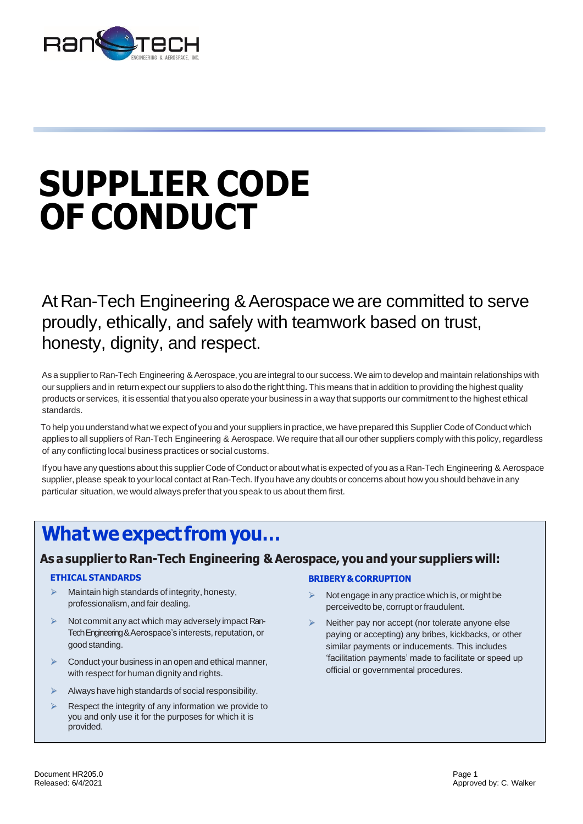

# **SUPPLIER CODE OF CONDUCT**

At Ran-Tech Engineering & Aerospace we are committed to serve proudly, ethically, and safely with teamwork based on trust, honesty, dignity, and respect.

As a supplier to Ran-Tech Engineering & Aerospace, you are integral to our success. We aim to develop and maintain relationships with our suppliers and in return expect our suppliers to also do the right thing. This means that in addition to providing the highest quality products or services, it is essential that you also operate your business in a way that supports our commitment to the highest ethical standards.

To help you understand what we expect of you and your suppliers in practice, we have prepared this Supplier Code of Conduct which applies to all suppliers of Ran-Tech Engineering & Aerospace. We require that all our other suppliers comply with this policy, regardless of any conflicting local business practices or social customs.

If you have any questions about this supplier Code of Conduct or about what is expected of you as a Ran-Tech Engineering & Aerospace supplier, please speak to yourlocal contact at Ran-Tech. If you have any doubts or concerns about how you should behave in any particular situation, we would always prefer that you speak to us about them first.

# **Whatweexpect fromyou…**

## **As a supplier to Ran-Tech Engineering & Aerospace, you andyour suppliers will:**

#### **ETHICAL STANDARDS**

- Maintain high standards of integrity, honesty, professionalism, and fair dealing.
- ➢ Not commit any act which may adversely impact Ran-Tech Engineering & Aerospace's interests, reputation, or good standing.
- $\triangleright$  Conduct your business in an open and ethical manner, with respect for human dignity and rights.
- $\triangleright$  Always have high standards of social responsibility.
- Respect the integrity of any information we provide to you and only use it for the purposes for which it is provided.

#### **BRIBERY&CORRUPTION**

- ➢ Not engage in any practice which is, or might be perceivedto be, corrupt or fraudulent.
- ➢ Neither pay nor accept (nor tolerate anyone else paying or accepting) any bribes, kickbacks, or other similar payments or inducements. This includes 'facilitation payments' made to facilitate or speed up official or governmental procedures.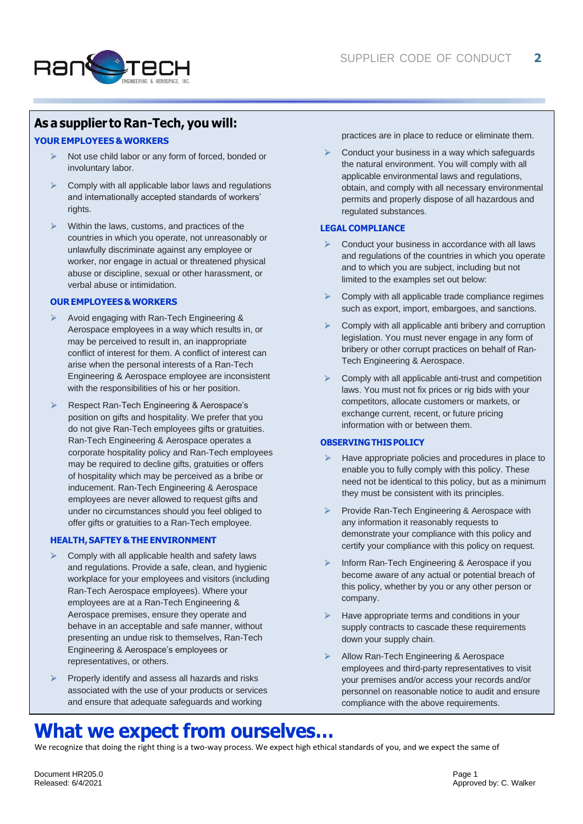

### **As a supplier to Ran-Tech, you will:**

#### **YOUREMPLOYEES&WORKERS**

- ➢ Not use child labor or any form of forced, bonded or involuntary labor.
- ➢ Comply with all applicable labor laws and regulations and internationally accepted standards of workers' rights.
- ➢ Within the laws, customs, and practices of the countries in which you operate, not unreasonably or unlawfully discriminate against any employee or worker, nor engage in actual or threatened physical abuse or discipline, sexual or other harassment, or verbal abuse or intimidation.

#### **OUREMPLOYEES&WORKERS**

- ➢ Avoid engaging with Ran-Tech Engineering & Aerospace employees in a way which results in, or may be perceived to result in, an inappropriate conflict of interest for them. A conflict of interest can arise when the personal interests of a Ran-Tech Engineering & Aerospace employee are inconsistent with the responsibilities of his or her position.
- ➢ Respect Ran-Tech Engineering & Aerospace's position on gifts and hospitality. We prefer that you do not give Ran-Tech employees gifts or gratuities. Ran-Tech Engineering & Aerospace operates a corporate hospitality policy and Ran-Tech employees may be required to decline gifts, gratuities or offers of hospitality which may be perceived as a bribe or inducement. Ran-Tech Engineering & Aerospace employees are never allowed to request gifts and under no circumstances should you feel obliged to offer gifts or gratuities to a Ran-Tech employee.

#### **HEALTH,SAFTEY&THEENVIRONMENT**

- ➢ Comply with all applicable health and safety laws and regulations. Provide a safe, clean, and hygienic workplace for your employees and visitors (including Ran-Tech Aerospace employees). Where your employees are at a Ran-Tech Engineering & Aerospace premises, ensure they operate and behave in an acceptable and safe manner, without presenting an undue risk to themselves, Ran-Tech Engineering & Aerospace's employees or representatives, or others.
- ➢ Properly identify and assess all hazards and risks associated with the use of your products or services and ensure that adequate safeguards and working

practices are in place to reduce or eliminate them.

➢ Conduct your business in a way which safeguards the natural environment. You will comply with all applicable environmental laws and regulations, obtain, and comply with all necessary environmental permits and properly dispose of all hazardous and regulated substances.

#### **LEGAL COMPLIANCE**

- Conduct your business in accordance with all laws and regulations of the countries in which you operate and to which you are subject, including but not limited to the examples set out below:
- $\triangleright$  Comply with all applicable trade compliance regimes such as export, import, embargoes, and sanctions.
- ➢ Comply with all applicable anti bribery and corruption legislation. You must never engage in any form of bribery or other corrupt practices on behalf of Ran-Tech Engineering & Aerospace.
- ➢ Comply with all applicable anti-trust and competition laws. You must not fix prices or rig bids with your competitors, allocate customers or markets, or exchange current, recent, or future pricing information with or between them.

#### **OBSERVINGTHISPOLICY**

- Have appropriate policies and procedures in place to enable you to fully comply with this policy. These need not be identical to this policy, but as a minimum they must be consistent with its principles.
- ➢ Provide Ran-Tech Engineering & Aerospace with any information it reasonably requests to demonstrate your compliance with this policy and certify your compliance with this policy on request.
- Inform Ran-Tech Engineering & Aerospace if you become aware of any actual or potential breach of this policy, whether by you or any other person or company.
- ➢ Have appropriate terms and conditions in your supply contracts to cascade these requirements down your supply chain.
- ➢ Allow Ran-Tech Engineering & Aerospace employees and third-party representatives to visit your premises and/or access your records and/or personnel on reasonable notice to audit and ensure compliance with the above requirements.

## **What we expect from ourselves…**

We recognize that doing the right thing is a two-way process. We expect high ethical standards of you, and we expect the same of